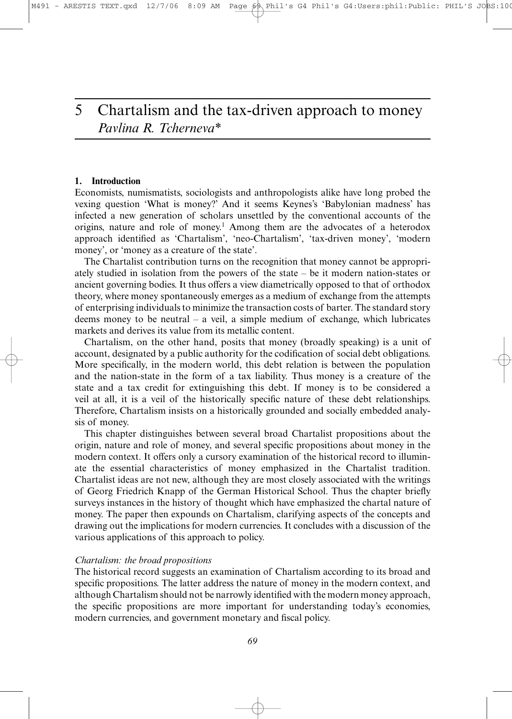#### M491 - ARESTIS TEXT.qxd 12/7/06 8:09 AM Page  $\cancel{\beta}$  Phil's G4 Phil's G4:Users:phil:Public: PHIL'S

# 5 Chartalism and the tax-driven approach to money *Pavlina R. Tcherneva\**

## **1. Introduction**

Economists, numismatists, sociologists and anthropologists alike have long probed the vexing question 'What is money?' And it seems Keynes's 'Babylonian madness' has infected a new generation of scholars unsettled by the conventional accounts of the origins, nature and role of money.1 Among them are the advocates of a heterodox approach identified as 'Chartalism', 'neo-Chartalism', 'tax-driven money', 'modern money', or 'money as a creature of the state'.

The Chartalist contribution turns on the recognition that money cannot be appropriately studied in isolation from the powers of the state – be it modern nation-states or ancient governing bodies. It thus offers a view diametrically opposed to that of orthodox theory, where money spontaneously emerges as a medium of exchange from the attempts of enterprising individuals to minimize the transaction costs of barter. The standard story deems money to be neutral – a veil, a simple medium of exchange, which lubricates markets and derives its value from its metallic content.

Chartalism, on the other hand, posits that money (broadly speaking) is a unit of account, designated by a public authority for the codification of social debt obligations. More specifically, in the modern world, this debt relation is between the population and the nation-state in the form of a tax liability. Thus money is a creature of the state and a tax credit for extinguishing this debt. If money is to be considered a veil at all, it is a veil of the historically specific nature of these debt relationships. Therefore, Chartalism insists on a historically grounded and socially embedded analysis of money.

This chapter distinguishes between several broad Chartalist propositions about the origin, nature and role of money, and several specific propositions about money in the modern context. It offers only a cursory examination of the historical record to illuminate the essential characteristics of money emphasized in the Chartalist tradition. Chartalist ideas are not new, although they are most closely associated with the writings of Georg Friedrich Knapp of the German Historical School. Thus the chapter briefly surveys instances in the history of thought which have emphasized the chartal nature of money. The paper then expounds on Chartalism, clarifying aspects of the concepts and drawing out the implications for modern currencies. It concludes with a discussion of the various applications of this approach to policy.

#### *Chartalism: the broad propositions*

The historical record suggests an examination of Chartalism according to its broad and specific propositions. The latter address the nature of money in the modern context, and although Chartalism should not be narrowly identified with the modern money approach, the specific propositions are more important for understanding today's economies, modern currencies, and government monetary and fiscal policy.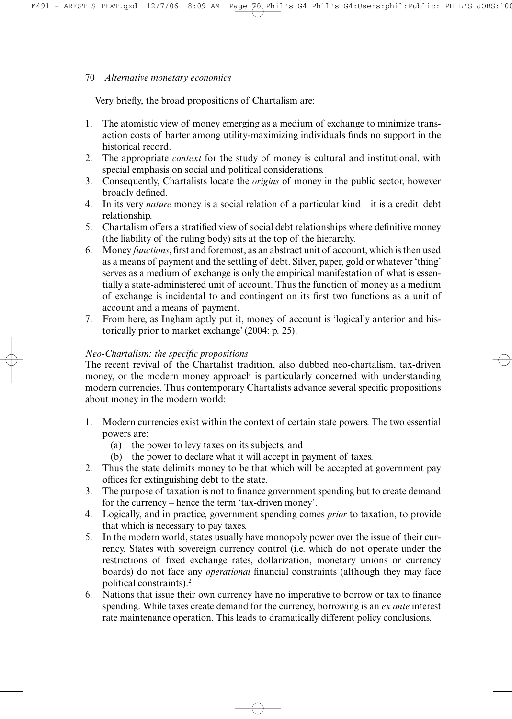Very briefly, the broad propositions of Chartalism are:

- 1. The atomistic view of money emerging as a medium of exchange to minimize transaction costs of barter among utility-maximizing individuals finds no support in the historical record.
- 2. The appropriate *context* for the study of money is cultural and institutional, with special emphasis on social and political considerations.
- 3. Consequently, Chartalists locate the *origins* of money in the public sector, however broadly defined.
- 4. In its very *nature* money is a social relation of a particular kind it is a credit–debt relationship.
- 5. Chartalism offers a stratified view of social debt relationships where definitive money (the liability of the ruling body) sits at the top of the hierarchy.
- 6. Money *functions*, first and foremost, as an abstract unit of account, which is then used as a means of payment and the settling of debt. Silver, paper, gold or whatever 'thing' serves as a medium of exchange is only the empirical manifestation of what is essentially a state-administered unit of account. Thus the function of money as a medium of exchange is incidental to and contingent on its first two functions as a unit of account and a means of payment.
- 7. From here, as Ingham aptly put it, money of account is 'logically anterior and historically prior to market exchange' (2004: p. 25).

## *Neo-Chartalism: the specific propositions*

The recent revival of the Chartalist tradition, also dubbed neo-chartalism, tax-driven money, or the modern money approach is particularly concerned with understanding modern currencies. Thus contemporary Chartalists advance several specific propositions about money in the modern world:

- 1. Modern currencies exist within the context of certain state powers. The two essential powers are:
	- (a) the power to levy taxes on its subjects, and
	- (b) the power to declare what it will accept in payment of taxes.
- 2. Thus the state delimits money to be that which will be accepted at government pay offices for extinguishing debt to the state.
- 3. The purpose of taxation is not to finance government spending but to create demand for the currency – hence the term 'tax-driven money'.
- 4. Logically, and in practice, government spending comes *prior* to taxation, to provide that which is necessary to pay taxes.
- 5. In the modern world, states usually have monopoly power over the issue of their currency. States with sovereign currency control (i.e. which do not operate under the restrictions of fixed exchange rates, dollarization, monetary unions or currency boards) do not face any *operational* financial constraints (although they may face political constraints).2
- 6. Nations that issue their own currency have no imperative to borrow or tax to finance spending. While taxes create demand for the currency, borrowing is an *ex ante* interest rate maintenance operation. This leads to dramatically different policy conclusions.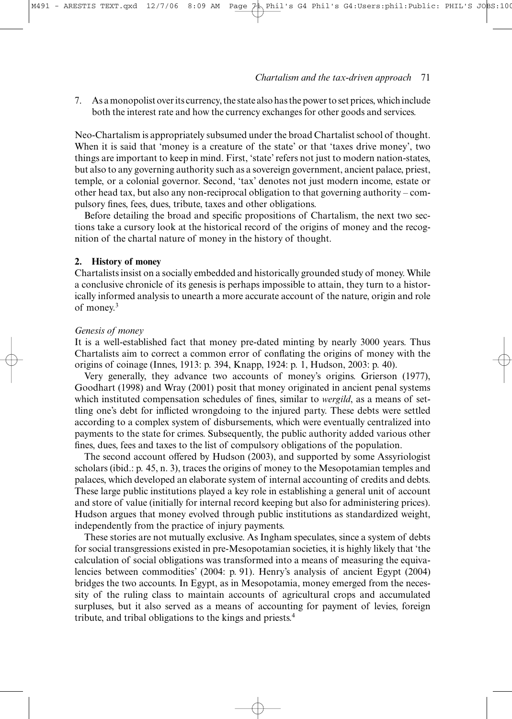7. As a monopolist over its currency, the state also has the power to set prices, which include both the interest rate and how the currency exchanges for other goods and services.

Neo-Chartalism is appropriately subsumed under the broad Chartalist school of thought. When it is said that 'money is a creature of the state' or that 'taxes drive money', two things are important to keep in mind. First, 'state' refers not just to modern nation-states, but also to any governing authority such as a sovereign government, ancient palace, priest, temple, or a colonial governor. Second, 'tax' denotes not just modern income, estate or other head tax, but also any non-reciprocal obligation to that governing authority – compulsory fines, fees, dues, tribute, taxes and other obligations.

Before detailing the broad and specific propositions of Chartalism, the next two sections take a cursory look at the historical record of the origins of money and the recognition of the chartal nature of money in the history of thought.

## **2. History of money**

Chartalists insist on a socially embedded and historically grounded study of money. While a conclusive chronicle of its genesis is perhaps impossible to attain, they turn to a historically informed analysis to unearth a more accurate account of the nature, origin and role of money.3

## *Genesis of money*

It is a well-established fact that money pre-dated minting by nearly 3000 years. Thus Chartalists aim to correct a common error of conflating the origins of money with the origins of coinage (Innes, 1913: p. 394, Knapp, 1924: p. 1, Hudson, 2003: p. 40).

Very generally, they advance two accounts of money's origins. Grierson (1977), Goodhart (1998) and Wray (2001) posit that money originated in ancient penal systems which instituted compensation schedules of fines, similar to *wergild*, as a means of settling one's debt for inflicted wrongdoing to the injured party. These debts were settled according to a complex system of disbursements, which were eventually centralized into payments to the state for crimes. Subsequently, the public authority added various other fines, dues, fees and taxes to the list of compulsory obligations of the population.

The second account offered by Hudson (2003), and supported by some Assyriologist scholars (ibid.: p. 45, n. 3), traces the origins of money to the Mesopotamian temples and palaces, which developed an elaborate system of internal accounting of credits and debts. These large public institutions played a key role in establishing a general unit of account and store of value (initially for internal record keeping but also for administering prices). Hudson argues that money evolved through public institutions as standardized weight, independently from the practice of injury payments.

These stories are not mutually exclusive. As Ingham speculates, since a system of debts for social transgressions existed in pre-Mesopotamian societies, it is highly likely that 'the calculation of social obligations was transformed into a means of measuring the equivalencies between commodities' (2004: p. 91). Henry's analysis of ancient Egypt (2004) bridges the two accounts. In Egypt, as in Mesopotamia, money emerged from the necessity of the ruling class to maintain accounts of agricultural crops and accumulated surpluses, but it also served as a means of accounting for payment of levies, foreign tribute, and tribal obligations to the kings and priests.4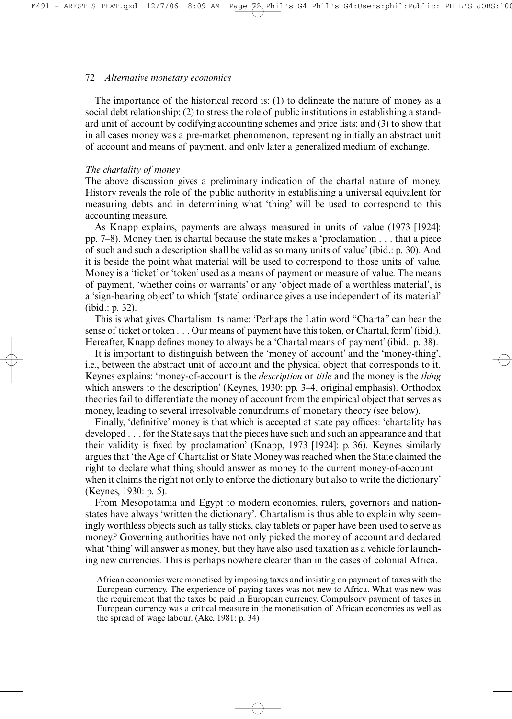The importance of the historical record is: (1) to delineate the nature of money as a social debt relationship; (2) to stress the role of public institutions in establishing a standard unit of account by codifying accounting schemes and price lists; and (3) to show that in all cases money was a pre-market phenomenon, representing initially an abstract unit of account and means of payment, and only later a generalized medium of exchange.

#### *The chartality of money*

The above discussion gives a preliminary indication of the chartal nature of money. History reveals the role of the public authority in establishing a universal equivalent for measuring debts and in determining what 'thing' will be used to correspond to this accounting measure.

As Knapp explains, payments are always measured in units of value (1973 [1924]: pp. 7–8). Money then is chartal because the state makes a 'proclamation . . . that a piece of such and such a description shall be valid as so many units of value' (ibid.: p. 30). And it is beside the point what material will be used to correspond to those units of value. Money is a 'ticket' or 'token' used as a means of payment or measure of value. The means of payment, 'whether coins or warrants' or any 'object made of a worthless material', is a 'sign-bearing object' to which '[state] ordinance gives a use independent of its material' (ibid.: p. 32).

This is what gives Chartalism its name: 'Perhaps the Latin word "Charta" can bear the sense of ticket or token . . . Our means of payment have this token, or Chartal, form' (ibid.). Hereafter, Knapp defines money to always be a 'Chartal means of payment' (ibid.: p. 38).

It is important to distinguish between the 'money of account' and the 'money-thing', i.e., between the abstract unit of account and the physical object that corresponds to it. Keynes explains: 'money-of-account is the *description* or *title* and the money is the *thing* which answers to the description' (Keynes, 1930: pp. 3–4, original emphasis). Orthodox theories fail to differentiate the money of account from the empirical object that serves as money, leading to several irresolvable conundrums of monetary theory (see below).

Finally, 'definitive' money is that which is accepted at state pay offices: 'chartality has developed . . . for the State says that the pieces have such and such an appearance and that their validity is fixed by proclamation' (Knapp, 1973 [1924]: p. 36). Keynes similarly argues that 'the Age of Chartalist or State Money was reached when the State claimed the right to declare what thing should answer as money to the current money-of-account – when it claims the right not only to enforce the dictionary but also to write the dictionary' (Keynes, 1930: p. 5).

From Mesopotamia and Egypt to modern economies, rulers, governors and nationstates have always 'written the dictionary'. Chartalism is thus able to explain why seemingly worthless objects such as tally sticks, clay tablets or paper have been used to serve as money.<sup>5</sup> Governing authorities have not only picked the money of account and declared what 'thing' will answer as money, but they have also used taxation as a vehicle for launching new currencies. This is perhaps nowhere clearer than in the cases of colonial Africa.

African economies were monetised by imposing taxes and insisting on payment of taxes with the European currency. The experience of paying taxes was not new to Africa. What was new was the requirement that the taxes be paid in European currency. Compulsory payment of taxes in European currency was a critical measure in the monetisation of African economies as well as the spread of wage labour. (Ake, 1981: p. 34)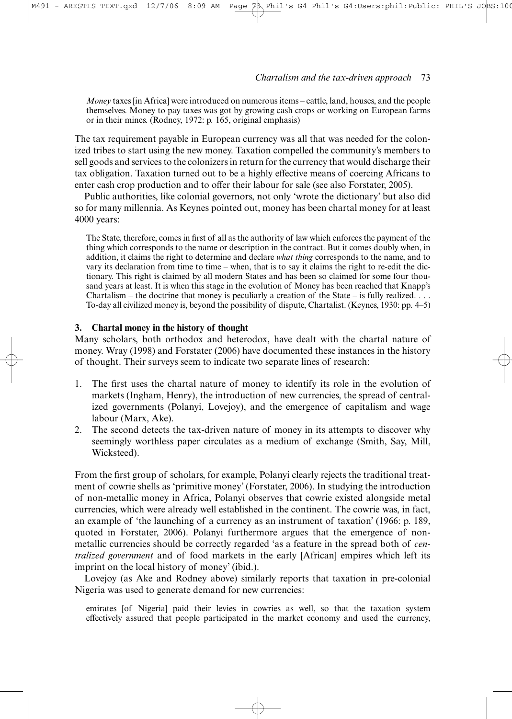*Money* taxes [in Africa] were introduced on numerous items – cattle, land, houses, and the people themselves. Money to pay taxes was got by growing cash crops or working on European farms or in their mines. (Rodney, 1972: p. 165, original emphasis)

M491 - ARESTIS TEXT.qxd 12/7/06 8:09 AM Page 7<sup>1</sup> Phil's G4 Phil's G4:Users:phil:Public: PHIL'S JOBS:100

The tax requirement payable in European currency was all that was needed for the colonized tribes to start using the new money. Taxation compelled the community's members to sell goods and services to the colonizers in return for the currency that would discharge their tax obligation. Taxation turned out to be a highly effective means of coercing Africans to enter cash crop production and to offer their labour for sale (see also Forstater, 2005).

Public authorities, like colonial governors, not only 'wrote the dictionary' but also did so for many millennia. As Keynes pointed out, money has been chartal money for at least 4000 years:

The State, therefore, comes in first of all as the authority of law which enforces the payment of the thing which corresponds to the name or description in the contract. But it comes doubly when, in addition, it claims the right to determine and declare *what thing* corresponds to the name, and to vary its declaration from time to time – when, that is to say it claims the right to re-edit the dictionary. This right is claimed by all modern States and has been so claimed for some four thousand years at least. It is when this stage in the evolution of Money has been reached that Knapp's Chartalism – the doctrine that money is peculiarly a creation of the State – is fully realized.  $\ldots$ To-day all civilized money is, beyond the possibility of dispute, Chartalist. (Keynes, 1930: pp. 4–5)

## **3. Chartal money in the history of thought**

Many scholars, both orthodox and heterodox, have dealt with the chartal nature of money. Wray (1998) and Forstater (2006) have documented these instances in the history of thought. Their surveys seem to indicate two separate lines of research:

- 1. The first uses the chartal nature of money to identify its role in the evolution of markets (Ingham, Henry), the introduction of new currencies, the spread of centralized governments (Polanyi, Lovejoy), and the emergence of capitalism and wage labour (Marx, Ake).
- 2. The second detects the tax-driven nature of money in its attempts to discover why seemingly worthless paper circulates as a medium of exchange (Smith, Say, Mill, Wicksteed).

From the first group of scholars, for example, Polanyi clearly rejects the traditional treatment of cowrie shells as 'primitive money' (Forstater, 2006). In studying the introduction of non-metallic money in Africa, Polanyi observes that cowrie existed alongside metal currencies, which were already well established in the continent. The cowrie was, in fact, an example of 'the launching of a currency as an instrument of taxation' (1966: p. 189, quoted in Forstater, 2006). Polanyi furthermore argues that the emergence of nonmetallic currencies should be correctly regarded 'as a feature in the spread both of *centralized government* and of food markets in the early [African] empires which left its imprint on the local history of money' (ibid.).

Lovejoy (as Ake and Rodney above) similarly reports that taxation in pre-colonial Nigeria was used to generate demand for new currencies:

emirates [of Nigeria] paid their levies in cowries as well, so that the taxation system effectively assured that people participated in the market economy and used the currency,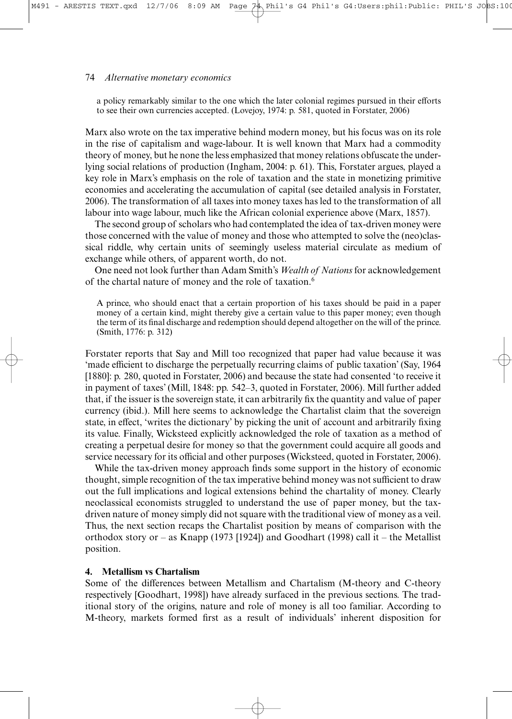a policy remarkably similar to the one which the later colonial regimes pursued in their efforts to see their own currencies accepted. (Lovejoy, 1974: p. 581, quoted in Forstater, 2006)

Marx also wrote on the tax imperative behind modern money, but his focus was on its role in the rise of capitalism and wage-labour. It is well known that Marx had a commodity theory of money, but he none the less emphasized that money relations obfuscate the underlying social relations of production (Ingham, 2004: p. 61). This, Forstater argues, played a key role in Marx's emphasis on the role of taxation and the state in monetizing primitive economies and accelerating the accumulation of capital (see detailed analysis in Forstater, 2006). The transformation of all taxes into money taxes has led to the transformation of all labour into wage labour, much like the African colonial experience above (Marx, 1857).

The second group of scholars who had contemplated the idea of tax-driven money were those concerned with the value of money and those who attempted to solve the (neo)classical riddle, why certain units of seemingly useless material circulate as medium of exchange while others, of apparent worth, do not.

One need not look further than Adam Smith's *Wealth of Nations* for acknowledgement of the chartal nature of money and the role of taxation.6

A prince, who should enact that a certain proportion of his taxes should be paid in a paper money of a certain kind, might thereby give a certain value to this paper money; even though the term of its final discharge and redemption should depend altogether on the will of the prince. (Smith, 1776: p. 312)

Forstater reports that Say and Mill too recognized that paper had value because it was 'made efficient to discharge the perpetually recurring claims of public taxation' (Say, 1964 [1880]: p. 280, quoted in Forstater, 2006) and because the state had consented 'to receive it in payment of taxes' (Mill, 1848: pp. 542–3, quoted in Forstater, 2006). Mill further added that, if the issuer is the sovereign state, it can arbitrarily fix the quantity and value of paper currency (ibid.). Mill here seems to acknowledge the Chartalist claim that the sovereign state, in effect, 'writes the dictionary' by picking the unit of account and arbitrarily fixing its value. Finally, Wicksteed explicitly acknowledged the role of taxation as a method of creating a perpetual desire for money so that the government could acquire all goods and service necessary for its official and other purposes (Wicksteed, quoted in Forstater, 2006).

While the tax-driven money approach finds some support in the history of economic thought, simple recognition of the tax imperative behind money was not sufficient to draw out the full implications and logical extensions behind the chartality of money. Clearly neoclassical economists struggled to understand the use of paper money, but the taxdriven nature of money simply did not square with the traditional view of money as a veil. Thus, the next section recaps the Chartalist position by means of comparison with the orthodox story or – as Knapp (1973 [1924]) and Goodhart (1998) call it – the Metallist position.

#### **4. Metallism vs Chartalism**

Some of the differences between Metallism and Chartalism (M-theory and C-theory respectively [Goodhart, 1998]) have already surfaced in the previous sections. The traditional story of the origins, nature and role of money is all too familiar. According to M-theory, markets formed first as a result of individuals' inherent disposition for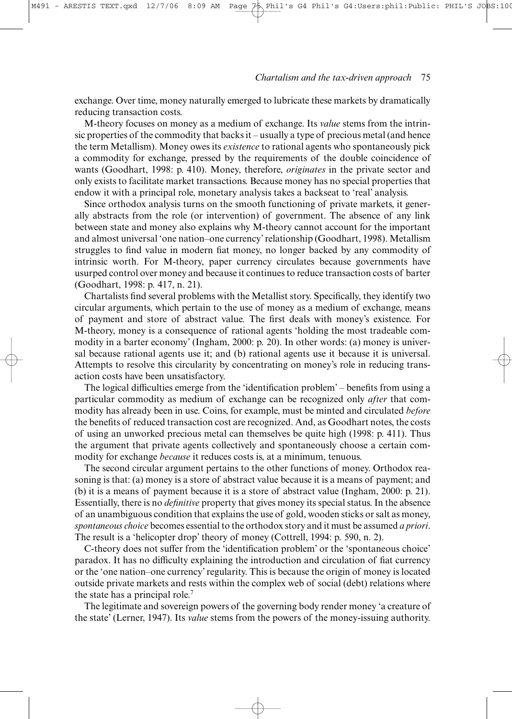exchange. Over time, money naturally emerged to lubricate these markets by dramatically reducing transaction costs.

M491 - ARESTIS TEXT.qxd 12/7/06 8:09 AM Page 75 Phil's G4 Phil's G4:Users:phil:Public: PHIL'S

M-theory focuses on money as a medium of exchange. Its *value* stems from the intrinsic properties of the commodity that backs it – usually a type of precious metal (and hence the term Metallism). Money owes its *existence* to rational agents who spontaneously pick a commodity for exchange, pressed by the requirements of the double coincidence of wants (Goodhart, 1998: p. 410). Money, therefore, *originates* in the private sector and only exists to facilitate market transactions. Because money has no special properties that endow it with a principal role, monetary analysis takes a backseat to 'real' analysis.

Since orthodox analysis turns on the smooth functioning of private markets, it generally abstracts from the role (or intervention) of government. The absence of any link between state and money also explains why M-theory cannot account for the important and almost universal 'one nation–one currency' relationship (Goodhart, 1998). Metallism struggles to find value in modern fiat money, no longer backed by any commodity of intrinsic worth. For M-theory, paper currency circulates because governments have usurped control over money and because it continues to reduce transaction costs of barter (Goodhart, 1998: p. 417, n. 21).

Chartalists find several problems with the Metallist story. Specifically, they identify two circular arguments, which pertain to the use of money as a medium of exchange, means of payment and store of abstract value. The first deals with money's existence. For M-theory, money is a consequence of rational agents 'holding the most tradeable commodity in a barter economy' (Ingham, 2000: p. 20). In other words: (a) money is universal because rational agents use it; and (b) rational agents use it because it is universal. Attempts to resolve this circularity by concentrating on money's role in reducing transaction costs have been unsatisfactory.

The logical difficulties emerge from the 'identification problem' – benefits from using a particular commodity as medium of exchange can be recognized only *after* that commodity has already been in use. Coins, for example, must be minted and circulated *before* the benefits of reduced transaction cost are recognized. And, as Goodhart notes, the costs of using an unworked precious metal can themselves be quite high (1998: p. 411). Thus the argument that private agents collectively and spontaneously choose a certain commodity for exchange *because* it reduces costs is, at a minimum, tenuous.

The second circular argument pertains to the other functions of money. Orthodox reasoning is that: (a) money is a store of abstract value because it is a means of payment; and (b) it is a means of payment because it is a store of abstract value (Ingham, 2000: p. 21). Essentially, there is no *definitive* property that gives money its special status. In the absence of an unambiguous condition that explains the use of gold, wooden sticks or salt as money, *spontaneous choice* becomes essential to the orthodox story and it must be assumed *a priori*. The result is a 'helicopter drop' theory of money (Cottrell, 1994: p. 590, n. 2).

C-theory does not suffer from the 'identification problem' or the 'spontaneous choice' paradox. It has no difficulty explaining the introduction and circulation of fiat currency or the 'one nation–one currency' regularity. This is because the origin of money is located outside private markets and rests within the complex web of social (debt) relations where the state has a principal role.7

The legitimate and sovereign powers of the governing body render money 'a creature of the state' (Lerner, 1947). Its *value* stems from the powers of the money-issuing authority.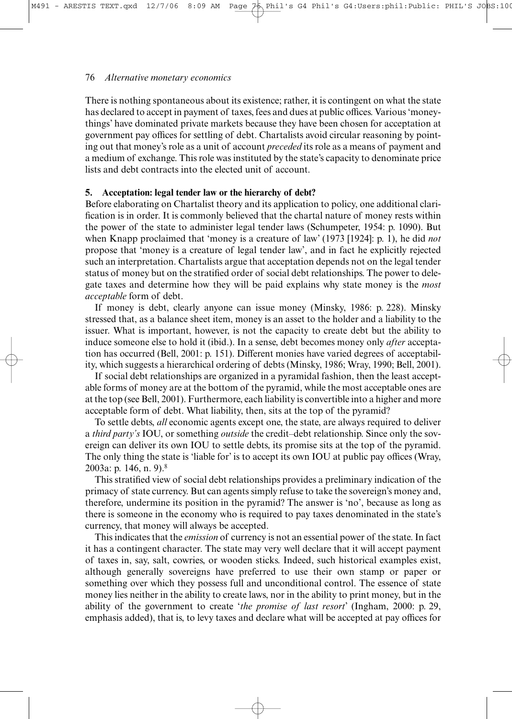There is nothing spontaneous about its existence; rather, it is contingent on what the state has declared to accept in payment of taxes, fees and dues at public offices. Various 'moneythings' have dominated private markets because they have been chosen for acceptation at government pay offices for settling of debt. Chartalists avoid circular reasoning by pointing out that money's role as a unit of account *preceded* its role as a means of payment and a medium of exchange. This role was instituted by the state's capacity to denominate price lists and debt contracts into the elected unit of account.

### **5. Acceptation: legal tender law or the hierarchy of debt?**

Before elaborating on Chartalist theory and its application to policy, one additional clarification is in order. It is commonly believed that the chartal nature of money rests within the power of the state to administer legal tender laws (Schumpeter, 1954: p. 1090). But when Knapp proclaimed that 'money is a creature of law' (1973 [1924]: p. 1), he did *not* propose that 'money is a creature of legal tender law', and in fact he explicitly rejected such an interpretation. Chartalists argue that acceptation depends not on the legal tender status of money but on the stratified order of social debt relationships. The power to delegate taxes and determine how they will be paid explains why state money is the *most acceptable* form of debt.

If money is debt, clearly anyone can issue money (Minsky, 1986: p. 228). Minsky stressed that, as a balance sheet item, money is an asset to the holder and a liability to the issuer. What is important, however, is not the capacity to create debt but the ability to induce someone else to hold it (ibid.). In a sense, debt becomes money only *after* acceptation has occurred (Bell, 2001: p. 151). Different monies have varied degrees of acceptability, which suggests a hierarchical ordering of debts (Minsky, 1986; Wray, 1990; Bell, 2001).

If social debt relationships are organized in a pyramidal fashion, then the least acceptable forms of money are at the bottom of the pyramid, while the most acceptable ones are at the top (see Bell, 2001). Furthermore, each liability is convertible into a higher and more acceptable form of debt. What liability, then, sits at the top of the pyramid?

To settle debts, *all* economic agents except one, the state, are always required to deliver a *third party's* IOU, or something *outside* the credit–debt relationship. Since only the sovereign can deliver its own IOU to settle debts, its promise sits at the top of the pyramid. The only thing the state is 'liable for' is to accept its own IOU at public pay offices (Wray, 2003a: p. 146, n. 9).8

This stratified view of social debt relationships provides a preliminary indication of the primacy of state currency. But can agents simply refuse to take the sovereign's money and, therefore, undermine its position in the pyramid? The answer is 'no', because as long as there is someone in the economy who is required to pay taxes denominated in the state's currency, that money will always be accepted.

This indicates that the *emission* of currency is not an essential power of the state. In fact it has a contingent character. The state may very well declare that it will accept payment of taxes in, say, salt, cowries, or wooden sticks. Indeed, such historical examples exist, although generally sovereigns have preferred to use their own stamp or paper or something over which they possess full and unconditional control. The essence of state money lies neither in the ability to create laws, nor in the ability to print money, but in the ability of the government to create '*the promise of last resort*' (Ingham, 2000: p. 29, emphasis added), that is, to levy taxes and declare what will be accepted at pay offices for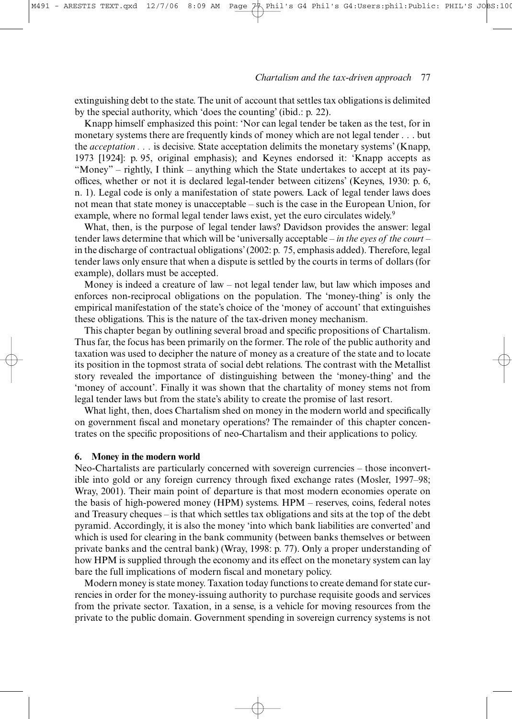extinguishing debt to the state. The unit of account that settles tax obligations is delimited by the special authority, which 'does the counting' (ibid.: p. 22).

M491 - ARESTIS TEXT.qxd 12/7/06 8:09 AM Page 冰 Phil's G4 Phil's G4:Users:phil:Public: PHIL'S

Knapp himself emphasized this point: 'Nor can legal tender be taken as the test, for in monetary systems there are frequently kinds of money which are not legal tender . . . but the *acceptation . . .* is decisive. State acceptation delimits the monetary systems' (Knapp, 1973 [1924]: p. 95, original emphasis); and Keynes endorsed it: 'Knapp accepts as "Money" – rightly, I think – anything which the State undertakes to accept at its payoffices, whether or not it is declared legal-tender between citizens' (Keynes, 1930: p. 6, n. 1). Legal code is only a manifestation of state powers. Lack of legal tender laws does not mean that state money is unacceptable – such is the case in the European Union, for example, where no formal legal tender laws exist, yet the euro circulates widely.<sup>9</sup>

What, then, is the purpose of legal tender laws? Davidson provides the answer: legal tender laws determine that which will be 'universally acceptable – *in the eyes of the court* – in the discharge of contractual obligations' (2002: p. 75, emphasis added). Therefore, legal tender laws only ensure that when a dispute is settled by the courts in terms of dollars (for example), dollars must be accepted.

Money is indeed a creature of law – not legal tender law, but law which imposes and enforces non-reciprocal obligations on the population. The 'money-thing' is only the empirical manifestation of the state's choice of the 'money of account' that extinguishes these obligations. This is the nature of the tax-driven money mechanism.

This chapter began by outlining several broad and specific propositions of Chartalism. Thus far, the focus has been primarily on the former. The role of the public authority and taxation was used to decipher the nature of money as a creature of the state and to locate its position in the topmost strata of social debt relations. The contrast with the Metallist story revealed the importance of distinguishing between the 'money-thing' and the 'money of account'. Finally it was shown that the chartality of money stems not from legal tender laws but from the state's ability to create the promise of last resort.

What light, then, does Chartalism shed on money in the modern world and specifically on government fiscal and monetary operations? The remainder of this chapter concentrates on the specific propositions of neo-Chartalism and their applications to policy.

#### **6. Money in the modern world**

Neo-Chartalists are particularly concerned with sovereign currencies – those inconvertible into gold or any foreign currency through fixed exchange rates (Mosler, 1997–98; Wray, 2001). Their main point of departure is that most modern economies operate on the basis of high-powered money (HPM) systems. HPM – reserves, coins, federal notes and Treasury cheques – is that which settles tax obligations and sits at the top of the debt pyramid. Accordingly, it is also the money 'into which bank liabilities are converted' and which is used for clearing in the bank community (between banks themselves or between private banks and the central bank) (Wray, 1998: p. 77). Only a proper understanding of how HPM is supplied through the economy and its effect on the monetary system can lay bare the full implications of modern fiscal and monetary policy.

Modern money is state money. Taxation today functions to create demand for state currencies in order for the money-issuing authority to purchase requisite goods and services from the private sector. Taxation, in a sense, is a vehicle for moving resources from the private to the public domain. Government spending in sovereign currency systems is not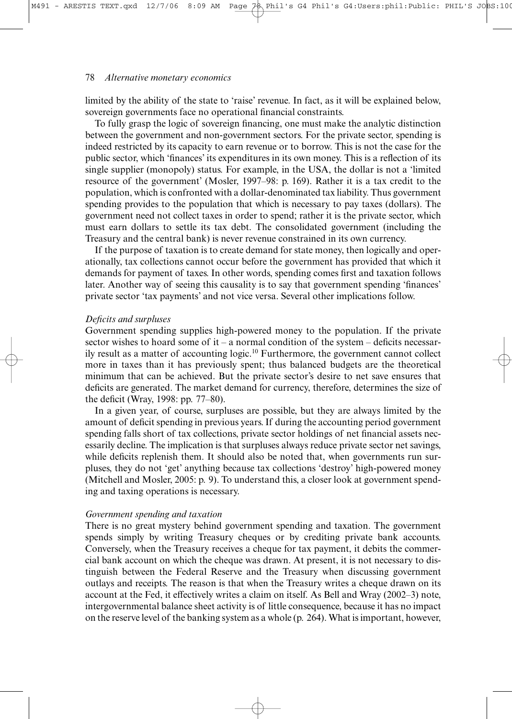limited by the ability of the state to 'raise' revenue. In fact, as it will be explained below, sovereign governments face no operational financial constraints.

To fully grasp the logic of sovereign financing, one must make the analytic distinction between the government and non-government sectors. For the private sector, spending is indeed restricted by its capacity to earn revenue or to borrow. This is not the case for the public sector, which 'finances' its expenditures in its own money. This is a reflection of its single supplier (monopoly) status. For example, in the USA, the dollar is not a 'limited resource of the government' (Mosler, 1997–98: p. 169). Rather it is a tax credit to the population, which is confronted with a dollar-denominated tax liability. Thus government spending provides to the population that which is necessary to pay taxes (dollars). The government need not collect taxes in order to spend; rather it is the private sector, which must earn dollars to settle its tax debt. The consolidated government (including the Treasury and the central bank) is never revenue constrained in its own currency.

If the purpose of taxation is to create demand for state money, then logically and operationally, tax collections cannot occur before the government has provided that which it demands for payment of taxes. In other words, spending comes first and taxation follows later. Another way of seeing this causality is to say that government spending 'finances' private sector 'tax payments' and not vice versa. Several other implications follow.

#### *Deficits and surpluses*

Government spending supplies high-powered money to the population. If the private sector wishes to hoard some of it – a normal condition of the system – deficits necessarily result as a matter of accounting logic.10 Furthermore, the government cannot collect more in taxes than it has previously spent; thus balanced budgets are the theoretical minimum that can be achieved. But the private sector's desire to net save ensures that deficits are generated. The market demand for currency, therefore, determines the size of the deficit (Wray, 1998: pp. 77–80).

In a given year, of course, surpluses are possible, but they are always limited by the amount of deficit spending in previous years. If during the accounting period government spending falls short of tax collections, private sector holdings of net financial assets necessarily decline. The implication is that surpluses always reduce private sector net savings, while deficits replenish them. It should also be noted that, when governments run surpluses, they do not 'get' anything because tax collections 'destroy' high-powered money (Mitchell and Mosler, 2005: p. 9). To understand this, a closer look at government spending and taxing operations is necessary.

#### *Government spending and taxation*

There is no great mystery behind government spending and taxation. The government spends simply by writing Treasury cheques or by crediting private bank accounts. Conversely, when the Treasury receives a cheque for tax payment, it debits the commercial bank account on which the cheque was drawn. At present, it is not necessary to distinguish between the Federal Reserve and the Treasury when discussing government outlays and receipts. The reason is that when the Treasury writes a cheque drawn on its account at the Fed, it effectively writes a claim on itself. As Bell and Wray (2002–3) note, intergovernmental balance sheet activity is of little consequence, because it has no impact on the reserve level of the banking system as a whole  $(p. 264)$ . What is important, however,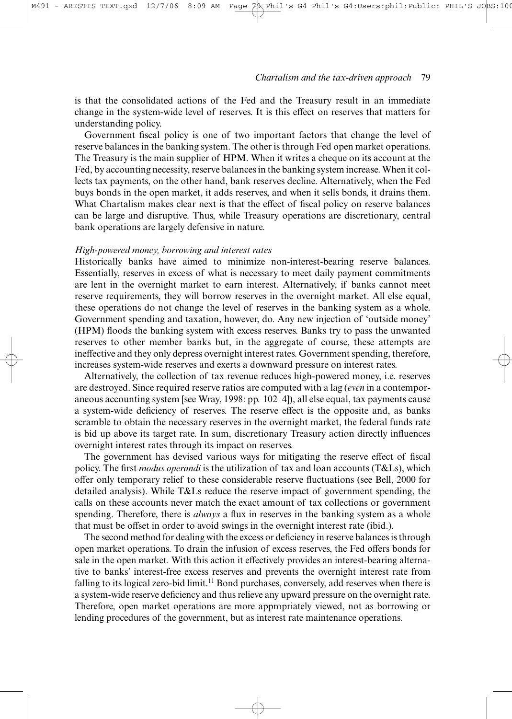is that the consolidated actions of the Fed and the Treasury result in an immediate change in the system-wide level of reserves. It is this effect on reserves that matters for understanding policy.

M491 - ARESTIS TEXT.qxd 12/7/06 8:09 AM Page 7<sup>9</sup> Phil's G4 Phil's G4:Users:phil:Public: PHIL'S

Government fiscal policy is one of two important factors that change the level of reserve balances in the banking system. The other is through Fed open market operations. The Treasury is the main supplier of HPM. When it writes a cheque on its account at the Fed, by accounting necessity, reserve balances in the banking system increase. When it collects tax payments, on the other hand, bank reserves decline. Alternatively, when the Fed buys bonds in the open market, it adds reserves, and when it sells bonds, it drains them. What Chartalism makes clear next is that the effect of fiscal policy on reserve balances can be large and disruptive. Thus, while Treasury operations are discretionary, central bank operations are largely defensive in nature.

#### *High-powered money, borrowing and interest rates*

Historically banks have aimed to minimize non-interest-bearing reserve balances. Essentially, reserves in excess of what is necessary to meet daily payment commitments are lent in the overnight market to earn interest. Alternatively, if banks cannot meet reserve requirements, they will borrow reserves in the overnight market. All else equal, these operations do not change the level of reserves in the banking system as a whole. Government spending and taxation, however, do. Any new injection of 'outside money' (HPM) floods the banking system with excess reserves. Banks try to pass the unwanted reserves to other member banks but, in the aggregate of course, these attempts are ineffective and they only depress overnight interest rates. Government spending, therefore, increases system-wide reserves and exerts a downward pressure on interest rates.

Alternatively, the collection of tax revenue reduces high-powered money, i.e. reserves are destroyed. Since required reserve ratios are computed with a lag (*even* in a contemporaneous accounting system [see Wray, 1998: pp. 102–4]), all else equal, tax payments cause a system-wide deficiency of reserves. The reserve effect is the opposite and, as banks scramble to obtain the necessary reserves in the overnight market, the federal funds rate is bid up above its target rate. In sum, discretionary Treasury action directly influences overnight interest rates through its impact on reserves.

The government has devised various ways for mitigating the reserve effect of fiscal policy. The first *modus operandi* is the utilization of tax and loan accounts (T&Ls), which offer only temporary relief to these considerable reserve fluctuations (see Bell, 2000 for detailed analysis). While T&Ls reduce the reserve impact of government spending, the calls on these accounts never match the exact amount of tax collections or government spending. Therefore, there is *always* a flux in reserves in the banking system as a whole that must be offset in order to avoid swings in the overnight interest rate (ibid.).

The second method for dealing with the excess or deficiency in reserve balances is through open market operations. To drain the infusion of excess reserves, the Fed offers bonds for sale in the open market. With this action it effectively provides an interest-bearing alternative to banks' interest-free excess reserves and prevents the overnight interest rate from falling to its logical zero-bid limit.<sup>11</sup> Bond purchases, conversely, add reserves when there is a system-wide reserve deficiency and thus relieve any upward pressure on the overnight rate. Therefore, open market operations are more appropriately viewed, not as borrowing or lending procedures of the government, but as interest rate maintenance operations.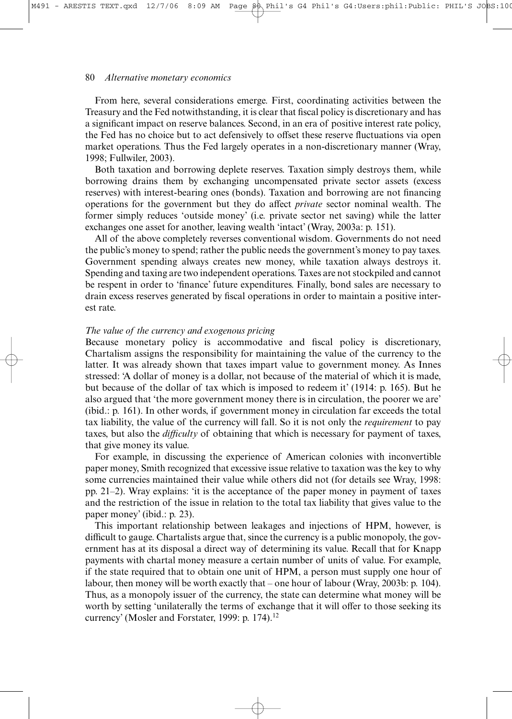From here, several considerations emerge. First, coordinating activities between the Treasury and the Fed notwithstanding, it is clear that fiscal policy is discretionary and has a significant impact on reserve balances. Second, in an era of positive interest rate policy, the Fed has no choice but to act defensively to offset these reserve fluctuations via open market operations. Thus the Fed largely operates in a non-discretionary manner (Wray, 1998; Fullwiler, 2003).

Both taxation and borrowing deplete reserves. Taxation simply destroys them, while borrowing drains them by exchanging uncompensated private sector assets (excess reserves) with interest-bearing ones (bonds). Taxation and borrowing are not financing operations for the government but they do affect *private* sector nominal wealth. The former simply reduces 'outside money' (i.e. private sector net saving) while the latter exchanges one asset for another, leaving wealth 'intact' (Wray, 2003a: p. 151).

All of the above completely reverses conventional wisdom. Governments do not need the public's money to spend; rather the public needs the government's money to pay taxes. Government spending always creates new money, while taxation always destroys it. Spending and taxing are two independent operations. Taxes are not stockpiled and cannot be respent in order to 'finance' future expenditures. Finally, bond sales are necessary to drain excess reserves generated by fiscal operations in order to maintain a positive interest rate.

## *The value of the currency and exogenous pricing*

Because monetary policy is accommodative and fiscal policy is discretionary, Chartalism assigns the responsibility for maintaining the value of the currency to the latter. It was already shown that taxes impart value to government money. As Innes stressed: 'A dollar of money is a dollar, not because of the material of which it is made, but because of the dollar of tax which is imposed to redeem it' (1914: p. 165). But he also argued that 'the more government money there is in circulation, the poorer we are' (ibid.: p. 161). In other words, if government money in circulation far exceeds the total tax liability, the value of the currency will fall. So it is not only the *requirement* to pay taxes, but also the *difficulty* of obtaining that which is necessary for payment of taxes, that give money its value.

For example, in discussing the experience of American colonies with inconvertible paper money, Smith recognized that excessive issue relative to taxation was the key to why some currencies maintained their value while others did not (for details see Wray, 1998: pp. 21–2). Wray explains: 'it is the acceptance of the paper money in payment of taxes and the restriction of the issue in relation to the total tax liability that gives value to the paper money' (ibid.: p. 23).

This important relationship between leakages and injections of HPM, however, is difficult to gauge. Chartalists argue that, since the currency is a public monopoly, the government has at its disposal a direct way of determining its value. Recall that for Knapp payments with chartal money measure a certain number of units of value. For example, if the state required that to obtain one unit of HPM, a person must supply one hour of labour, then money will be worth exactly that – one hour of labour (Wray, 2003b: p. 104). Thus, as a monopoly issuer of the currency, the state can determine what money will be worth by setting 'unilaterally the terms of exchange that it will offer to those seeking its currency' (Mosler and Forstater, 1999: p. 174).12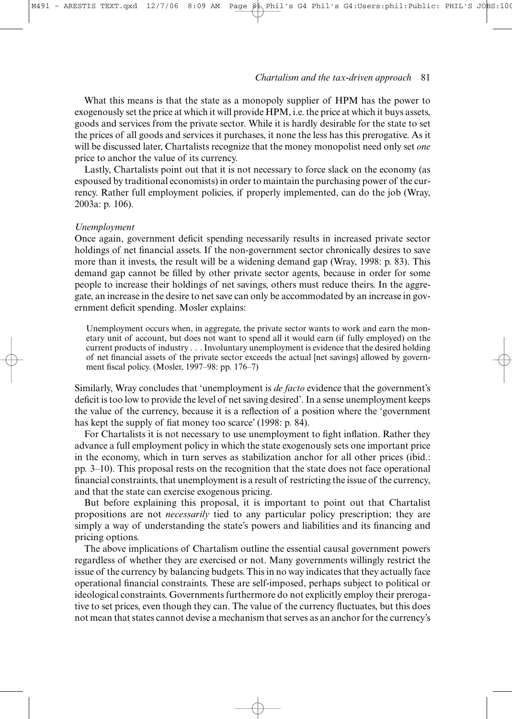What this means is that the state as a monopoly supplier of HPM has the power to exogenously set the price at which it will provide HPM, i.e. the price at which it buys assets, goods and services from the private sector. While it is hardly desirable for the state to set the prices of all goods and services it purchases, it none the less has this prerogative. As it will be discussed later, Chartalists recognize that the money monopolist need only set *one* price to anchor the value of its currency.

Lastly, Chartalists point out that it is not necessary to force slack on the economy (as espoused by traditional economists) in order to maintain the purchasing power of the currency. Rather full employment policies, if properly implemented, can do the job (Wray, 2003a: p. 106).

#### *Unemployment*

Once again, government deficit spending necessarily results in increased private sector holdings of net financial assets. If the non-government sector chronically desires to save more than it invests, the result will be a widening demand gap (Wray, 1998: p. 83). This demand gap cannot be filled by other private sector agents, because in order for some people to increase their holdings of net savings, others must reduce theirs. In the aggregate, an increase in the desire to net save can only be accommodated by an increase in government deficit spending. Mosler explains:

Unemployment occurs when, in aggregate, the private sector wants to work and earn the monetary unit of account, but does not want to spend all it would earn (if fully employed) on the current products of industry . . . Involuntary unemployment is evidence that the desired holding of net financial assets of the private sector exceeds the actual [net savings] allowed by government fiscal policy. (Mosler, 1997–98: pp. 176–7)

Similarly, Wray concludes that 'unemployment is *de facto* evidence that the government's deficit is too low to provide the level of net saving desired'. In a sense unemployment keeps the value of the currency, because it is a reflection of a position where the 'government has kept the supply of fiat money too scarce' (1998: p. 84).

For Chartalists it is not necessary to use unemployment to fight inflation. Rather they advance a full employment policy in which the state exogenously sets one important price in the economy, which in turn serves as stabilization anchor for all other prices (ibid.: pp. 3–10). This proposal rests on the recognition that the state does not face operational financial constraints, that unemployment is a result of restricting the issue of the currency, and that the state can exercise exogenous pricing.

But before explaining this proposal, it is important to point out that Chartalist propositions are not *necessarily* tied to any particular policy prescription; they are simply a way of understanding the state's powers and liabilities and its financing and pricing options.

The above implications of Chartalism outline the essential causal government powers regardless of whether they are exercised or not. Many governments willingly restrict the issue of the currency by balancing budgets. This in no way indicates that they actually face operational financial constraints. These are self-imposed, perhaps subject to political or ideological constraints. Governments furthermore do not explicitly employ their prerogative to set prices, even though they can. The value of the currency fluctuates, but this does not mean that states cannot devise a mechanism that serves as an anchor for the currency's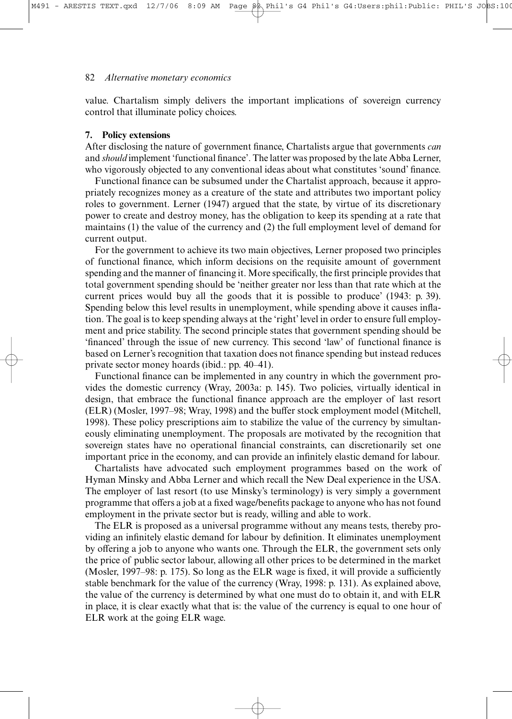value. Chartalism simply delivers the important implications of sovereign currency control that illuminate policy choices.

## **7. Policy extensions**

After disclosing the nature of government finance, Chartalists argue that governments *can* and *should* implement 'functional finance'. The latter was proposed by the late Abba Lerner, who vigorously objected to any conventional ideas about what constitutes 'sound' finance.

Functional finance can be subsumed under the Chartalist approach, because it appropriately recognizes money as a creature of the state and attributes two important policy roles to government. Lerner (1947) argued that the state, by virtue of its discretionary power to create and destroy money, has the obligation to keep its spending at a rate that maintains (1) the value of the currency and (2) the full employment level of demand for current output.

For the government to achieve its two main objectives, Lerner proposed two principles of functional finance, which inform decisions on the requisite amount of government spending and the manner of financing it. More specifically, the first principle provides that total government spending should be 'neither greater nor less than that rate which at the current prices would buy all the goods that it is possible to produce' (1943: p. 39). Spending below this level results in unemployment, while spending above it causes inflation. The goal is to keep spending always at the 'right' level in order to ensure full employment and price stability. The second principle states that government spending should be 'financed' through the issue of new currency. This second 'law' of functional finance is based on Lerner's recognition that taxation does not finance spending but instead reduces private sector money hoards (ibid.: pp. 40–41).

Functional finance can be implemented in any country in which the government provides the domestic currency (Wray, 2003a: p. 145). Two policies, virtually identical in design, that embrace the functional finance approach are the employer of last resort (ELR) (Mosler, 1997–98; Wray, 1998) and the buffer stock employment model (Mitchell, 1998). These policy prescriptions aim to stabilize the value of the currency by simultaneously eliminating unemployment. The proposals are motivated by the recognition that sovereign states have no operational financial constraints, can discretionarily set one important price in the economy, and can provide an infinitely elastic demand for labour.

Chartalists have advocated such employment programmes based on the work of Hyman Minsky and Abba Lerner and which recall the New Deal experience in the USA. The employer of last resort (to use Minsky's terminology) is very simply a government programme that offers a job at a fixed wage/benefits package to anyone who has not found employment in the private sector but is ready, willing and able to work.

The ELR is proposed as a universal programme without any means tests, thereby providing an infinitely elastic demand for labour by definition. It eliminates unemployment by offering a job to anyone who wants one. Through the ELR, the government sets only the price of public sector labour, allowing all other prices to be determined in the market (Mosler, 1997–98: p. 175). So long as the ELR wage is fixed, it will provide a sufficiently stable benchmark for the value of the currency (Wray, 1998: p. 131). As explained above, the value of the currency is determined by what one must do to obtain it, and with ELR in place, it is clear exactly what that is: the value of the currency is equal to one hour of ELR work at the going ELR wage.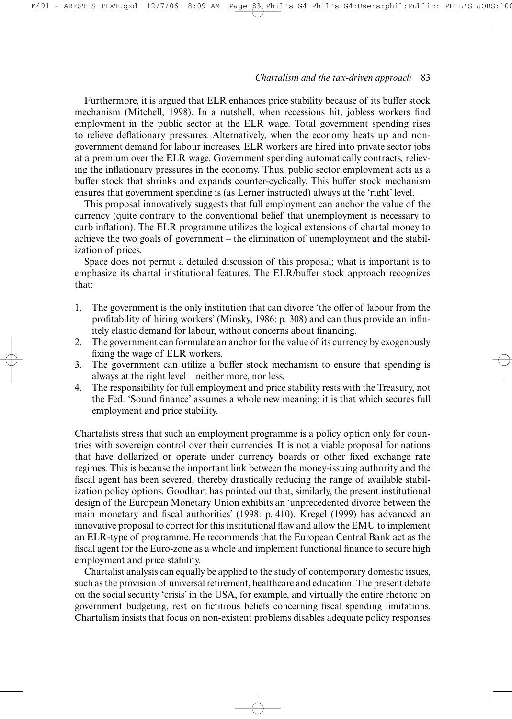Furthermore, it is argued that ELR enhances price stability because of its buffer stock mechanism (Mitchell, 1998). In a nutshell, when recessions hit, jobless workers find employment in the public sector at the ELR wage. Total government spending rises to relieve deflationary pressures. Alternatively, when the economy heats up and nongovernment demand for labour increases, ELR workers are hired into private sector jobs at a premium over the ELR wage. Government spending automatically contracts, relieving the inflationary pressures in the economy. Thus, public sector employment acts as a buffer stock that shrinks and expands counter-cyclically. This buffer stock mechanism ensures that government spending is (as Lerner instructed) always at the 'right' level.

This proposal innovatively suggests that full employment can anchor the value of the currency (quite contrary to the conventional belief that unemployment is necessary to curb inflation). The ELR programme utilizes the logical extensions of chartal money to achieve the two goals of government – the elimination of unemployment and the stabilization of prices.

Space does not permit a detailed discussion of this proposal; what is important is to emphasize its chartal institutional features. The ELR/buffer stock approach recognizes that:

- 1. The government is the only institution that can divorce 'the offer of labour from the profitability of hiring workers' (Minsky, 1986: p. 308) and can thus provide an infinitely elastic demand for labour, without concerns about financing.
- 2. The government can formulate an anchor for the value of its currency by exogenously fixing the wage of ELR workers.
- 3. The government can utilize a buffer stock mechanism to ensure that spending is always at the right level – neither more, nor less.
- 4. The responsibility for full employment and price stability rests with the Treasury, not the Fed. 'Sound finance' assumes a whole new meaning: it is that which secures full employment and price stability.

Chartalists stress that such an employment programme is a policy option only for countries with sovereign control over their currencies. It is not a viable proposal for nations that have dollarized or operate under currency boards or other fixed exchange rate regimes. This is because the important link between the money-issuing authority and the fiscal agent has been severed, thereby drastically reducing the range of available stabilization policy options. Goodhart has pointed out that, similarly, the present institutional design of the European Monetary Union exhibits an 'unprecedented divorce between the main monetary and fiscal authorities' (1998: p. 410). Kregel (1999) has advanced an innovative proposal to correct for this institutional flaw and allow the EMU to implement an ELR-type of programme. He recommends that the European Central Bank act as the fiscal agent for the Euro-zone as a whole and implement functional finance to secure high employment and price stability.

Chartalist analysis can equally be applied to the study of contemporary domestic issues, such as the provision of universal retirement, healthcare and education. The present debate on the social security 'crisis' in the USA, for example, and virtually the entire rhetoric on government budgeting, rest on fictitious beliefs concerning fiscal spending limitations. Chartalism insists that focus on non-existent problems disables adequate policy responses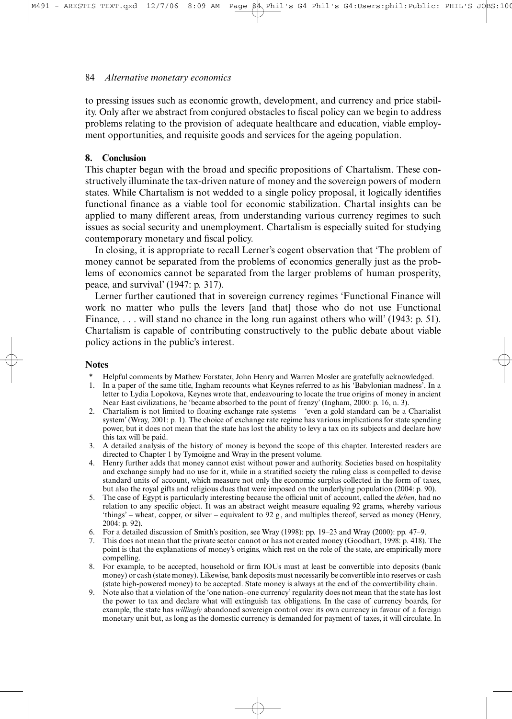to pressing issues such as economic growth, development, and currency and price stability. Only after we abstract from conjured obstacles to fiscal policy can we begin to address problems relating to the provision of adequate healthcare and education, viable employment opportunities, and requisite goods and services for the ageing population.

## **8. Conclusion**

This chapter began with the broad and specific propositions of Chartalism. These constructively illuminate the tax-driven nature of money and the sovereign powers of modern states. While Chartalism is not wedded to a single policy proposal, it logically identifies functional finance as a viable tool for economic stabilization. Chartal insights can be applied to many different areas, from understanding various currency regimes to such issues as social security and unemployment. Chartalism is especially suited for studying contemporary monetary and fiscal policy.

In closing, it is appropriate to recall Lerner's cogent observation that 'The problem of money cannot be separated from the problems of economics generally just as the problems of economics cannot be separated from the larger problems of human prosperity, peace, and survival' (1947: p. 317).

Lerner further cautioned that in sovereign currency regimes 'Functional Finance will work no matter who pulls the levers [and that] those who do not use Functional Finance, . . . will stand no chance in the long run against others who will' (1943: p. 51). Chartalism is capable of contributing constructively to the public debate about viable policy actions in the public's interest.

## **Notes**

- \* Helpful comments by Mathew Forstater, John Henry and Warren Mosler are gratefully acknowledged.
- 1. In a paper of the same title, Ingham recounts what Keynes referred to as his 'Babylonian madness'. In a letter to Lydia Lopokova, Keynes wrote that, endeavouring to locate the true origins of money in ancient Near East civilizations, he 'became absorbed to the point of frenzy' (Ingham, 2000: p. 16, n. 3).
- 2. Chartalism is not limited to floating exchange rate systems 'even a gold standard can be a Chartalist system' (Wray, 2001: p. 1). The choice of exchange rate regime has various implications for state spending power, but it does not mean that the state has lost the ability to levy a tax on its subjects and declare how this tax will be paid.
- 3. A detailed analysis of the history of money is beyond the scope of this chapter. Interested readers are directed to Chapter 1 by Tymoigne and Wray in the present volume.
- 4. Henry further adds that money cannot exist without power and authority. Societies based on hospitality and exchange simply had no use for it, while in a stratified society the ruling class is compelled to devise standard units of account, which measure not only the economic surplus collected in the form of taxes, but also the royal gifts and religious dues that were imposed on the underlying population (2004: p. 90).
- 5. The case of Egypt is particularly interesting because the official unit of account, called the *deben*, had no relation to any specific object. It was an abstract weight measure equaling 92 grams, whereby various 'things' – wheat, copper, or silver – equivalent to 92 g, and multiples thereof, served as money (Henry, 2004: p. 92).
- 6. For a detailed discussion of Smith's position, see Wray (1998): pp. 19–23 and Wray (2000): pp. 47–9.
- 7. This does not mean that the private sector cannot or has not created money (Goodhart, 1998: p. 418). The point is that the explanations of money's origins, which rest on the role of the state, are empirically more compelling.
- 8. For example, to be accepted, household or firm IOUs must at least be convertible into deposits (bank money) or cash (state money). Likewise, bank deposits must necessarily be convertible into reserves or cash (state high-powered money) to be accepted. State money is always at the end of the convertibility chain.
- 9. Note also that a violation of the 'one nation–one currency' regularity does not mean that the state has lost the power to tax and declare what will extinguish tax obligations. In the case of currency boards, for example, the state has *willingly* abandoned sovereign control over its own currency in favour of a foreign monetary unit but, as long as the domestic currency is demanded for payment of taxes, it will circulate. In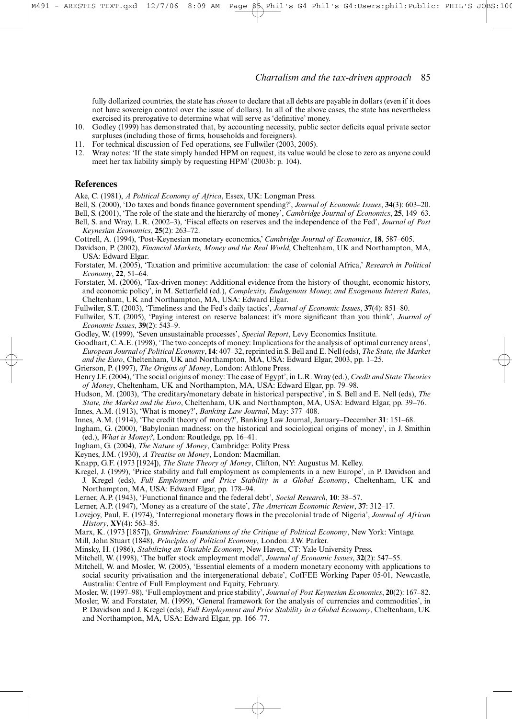fully dollarized countries, the state has *chosen* to declare that all debts are payable in dollars (even if it does not have sovereign control over the issue of dollars). In all of the above cases, the state has nevertheless exercised its prerogative to determine what will serve as 'definitive' money.

- 10. Godley (1999) has demonstrated that, by accounting necessity, public sector deficits equal private sector surpluses (including those of firms, households and foreigners).
- 11. For technical discussion of Fed operations, see Fullwiler (2003, 2005).
- 12. Wray notes: 'If the state simply handed HPM on request, its value would be close to zero as anyone could meet her tax liability simply by requesting HPM' (2003b: p. 104).

#### **References**

Ake, C. (1981), *A Political Economy of Africa*, Essex, UK: Longman Press.

Bell, S. (2000), 'Do taxes and bonds finance government spending?', *Journal of Economic Issues*, **34**(3): 603–20.

- Bell, S. (2001), 'The role of the state and the hierarchy of money', *Cambridge Journal of Economics*, **25**, 149–63. Bell, S. and Wray, L.R. (2002–3), 'Fiscal effects on reserves and the independence of the Fed', *Journal of Post Keynesian Economics*, **25**(2): 263–72.
- Cottrell, A. (1994), 'Post-Keynesian monetary economics,' *Cambridge Journal of Economics*, **18**, 587–605.
- Davidson, P. (2002), *Financial Markets, Money and the Real World*, Cheltenham, UK and Northampton, MA, USA: Edward Elgar.
- Forstater, M. (2005), 'Taxation and primitive accumulation: the case of colonial Africa,' *Research in Political Economy*, **22**, 51–64.
- Forstater, M. (2006), 'Tax-driven money: Additional evidence from the history of thought, economic history, and economic policy', in M. Setterfield (ed.), *Complexity, Endogenous Money, and Exogenous Interest Rates*, Cheltenham, UK and Northampton, MA, USA: Edward Elgar.
- Fullwiler, S.T. (2003), 'Timeliness and the Fed's daily tactics', *Journal of Economic Issues*, **37**(4): 851–80.
- Fullwiler, S.T. (2005), 'Paying interest on reserve balances: it's more significant than you think', *Journal of Economic Issues*, **39**(2): 543–9.
- Godley, W. (1999), 'Seven unsustainable processes', *Special Report*, Levy Economics Institute.
- Goodhart, C.A.E. (1998), 'The two concepts of money: Implications for the analysis of optimal currency areas', *European Journal of Political Economy*, **14**: 407–32, reprinted in S. Bell and E. Nell (eds), *The State, the Market and the Euro*, Cheltenham, UK and Northampton, MA, USA: Edward Elgar, 2003, pp. 1–25.

Grierson, P. (1997), *The Origins of Money*, London: Athlone Press.

Henry J.F. (2004), 'The social origins of money: The case of Egypt', in L.R. Wray (ed.), *Credit and State Theories of Money*, Cheltenham, UK and Northampton, MA, USA: Edward Elgar, pp. 79–98.

Hudson, M. (2003), 'The creditary/monetary debate in historical perspective', in S. Bell and E. Nell (eds), *The State, the Market and the Euro*, Cheltenham, UK and Northampton, MA, USA: Edward Elgar, pp. 39–76.

Innes, A.M. (1913), 'What is money?', *Banking Law Journal*, May: 377–408.

Innes, A.M. (1914), 'The credit theory of money?', Banking Law Journal, January–December **31**: 151–68.

Ingham, G. (2000), 'Babylonian madness: on the historical and sociological origins of money', in J. Smithin (ed.), *What is Money?*, London: Routledge, pp. 16–41.

Ingham, G. (2004), *The Nature of Money*, Cambridge: Polity Press.

- Keynes, J.M. (1930), *A Treatise on Money*, London: Macmillan.
- Knapp, G.F. (1973 [1924]), *The State Theory of Money*, Clifton, NY: Augustus M. Kelley.
- Kregel, J. (1999), 'Price stability and full employment as complements in a new Europe', in P. Davidson and J. Kregel (eds), *Full Employment and Price Stability in a Global Economy*, Cheltenham, UK and Northampton, MA, USA: Edward Elgar, pp. 178–94.

Lerner, A.P. (1943), 'Functional finance and the federal debt', *Social Research*, **10**: 38–57.

- Lerner, A.P. (1947), 'Money as a creature of the state', *The American Economic Review*, **37**: 312–17.
- Lovejoy, Paul, E. (1974), 'Interregional monetary flows in the precolonial trade of Nigeria', *Journal of African History*, **XV**(4): 563–85.

Marx, K. (1973 [1857]), *Grundrisse: Foundations of the Critique of Political Economy*, New York: Vintage.

Mill, John Stuart (1848), *Principles of Political Economy*, London: J.W. Parker.

Minsky, H. (1986), *Stabilizing an Unstable Economy*, New Haven, CT: Yale University Press.

Mitchell, W. (1998), 'The buffer stock employment model', *Journal of Economic Issues*, **32**(2): 547–55.

- Mitchell, W. and Mosler, W. (2005), 'Essential elements of a modern monetary economy with applications to social security privatisation and the intergenerational debate', CofFEE Working Paper 05-01, Newcastle, Australia: Centre of Full Employment and Equity, February.
- Mosler, W. (1997–98), 'Full employment and price stability', *Journal of Post Keynesian Economics*, **20**(2): 167–82.
- Mosler, W. and Forstater, M. (1999), 'General framework for the analysis of currencies and commodities', in P. Davidson and J. Kregel (eds), *Full Employment and Price Stability in a Global Economy*, Cheltenham, UK and Northampton, MA, USA: Edward Elgar, pp. 166–77.